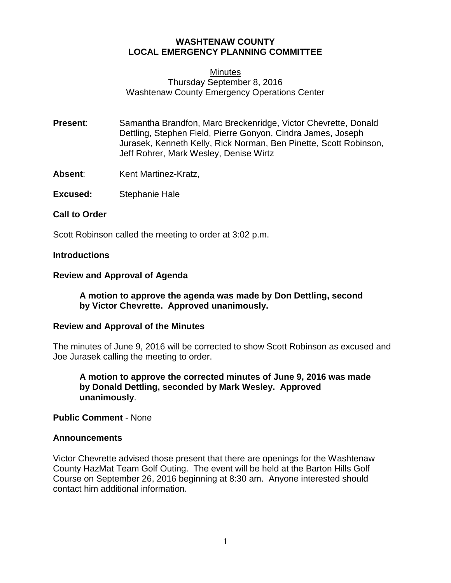# **WASHTENAW COUNTY LOCAL EMERGENCY PLANNING COMMITTEE**

## **Minutes** Thursday September 8, 2016 Washtenaw County Emergency Operations Center

- **Present**: Samantha Brandfon, Marc Breckenridge, Victor Chevrette, Donald Dettling, Stephen Field, Pierre Gonyon, Cindra James, Joseph Jurasek, Kenneth Kelly, Rick Norman, Ben Pinette, Scott Robinson, Jeff Rohrer, Mark Wesley, Denise Wirtz
- Absent: Kent Martinez-Kratz,
- **Excused:** Stephanie Hale

### **Call to Order**

Scott Robinson called the meeting to order at 3:02 p.m.

### **Introductions**

### **Review and Approval of Agenda**

# **A motion to approve the agenda was made by Don Dettling, second by Victor Chevrette. Approved unanimously.**

#### **Review and Approval of the Minutes**

The minutes of June 9, 2016 will be corrected to show Scott Robinson as excused and Joe Jurasek calling the meeting to order.

# **A motion to approve the corrected minutes of June 9, 2016 was made by Donald Dettling, seconded by Mark Wesley. Approved unanimously**.

## **Public Comment** - None

#### **Announcements**

Victor Chevrette advised those present that there are openings for the Washtenaw County HazMat Team Golf Outing. The event will be held at the Barton Hills Golf Course on September 26, 2016 beginning at 8:30 am. Anyone interested should contact him additional information.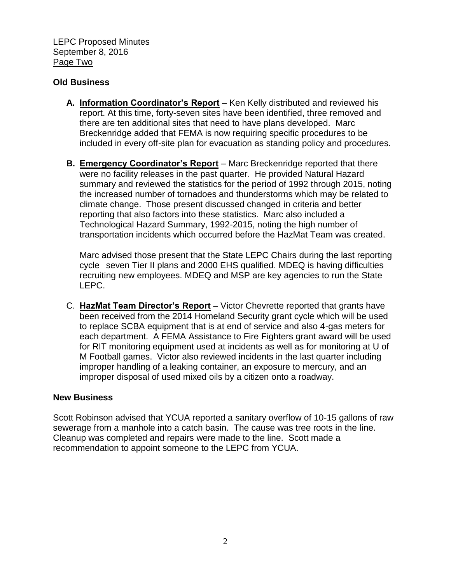LEPC Proposed Minutes September 8, 2016 Page Two

## **Old Business**

- **A. Information Coordinator's Report** Ken Kelly distributed and reviewed his report. At this time, forty-seven sites have been identified, three removed and there are ten additional sites that need to have plans developed. Marc Breckenridge added that FEMA is now requiring specific procedures to be included in every off-site plan for evacuation as standing policy and procedures.
- **B. Emergency Coordinator's Report** Marc Breckenridge reported that there were no facility releases in the past quarter. He provided Natural Hazard summary and reviewed the statistics for the period of 1992 through 2015, noting the increased number of tornadoes and thunderstorms which may be related to climate change. Those present discussed changed in criteria and better reporting that also factors into these statistics. Marc also included a Technological Hazard Summary, 1992-2015, noting the high number of transportation incidents which occurred before the HazMat Team was created.

Marc advised those present that the State LEPC Chairs during the last reporting cycle seven Tier II plans and 2000 EHS qualified. MDEQ is having difficulties recruiting new employees. MDEQ and MSP are key agencies to run the State LEPC.

C. **HazMat Team Director's Report** – Victor Chevrette reported that grants have been received from the 2014 Homeland Security grant cycle which will be used to replace SCBA equipment that is at end of service and also 4-gas meters for each department. A FEMA Assistance to Fire Fighters grant award will be used for RIT monitoring equipment used at incidents as well as for monitoring at U of M Football games. Victor also reviewed incidents in the last quarter including improper handling of a leaking container, an exposure to mercury, and an improper disposal of used mixed oils by a citizen onto a roadway.

#### **New Business**

Scott Robinson advised that YCUA reported a sanitary overflow of 10-15 gallons of raw sewerage from a manhole into a catch basin. The cause was tree roots in the line. Cleanup was completed and repairs were made to the line. Scott made a recommendation to appoint someone to the LEPC from YCUA.